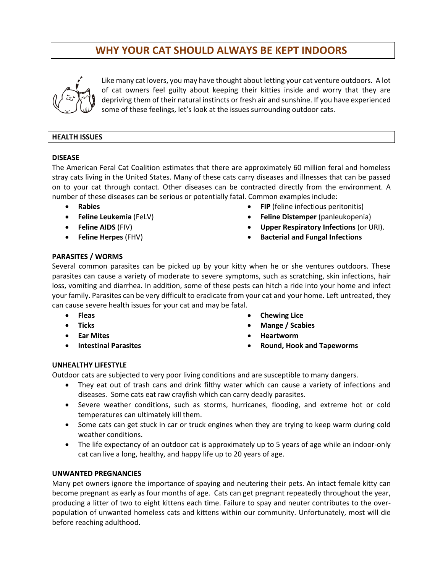# **WHY YOUR CAT SHOULD ALWAYS BE KEPT INDOORS**



Like many cat lovers, you may have thought about letting your cat venture outdoors. A lot of cat owners feel guilty about keeping their kitties inside and worry that they are depriving them of their natural instincts or fresh air and sunshine. If you have experienced some of these feelings, let's look at the issues surrounding outdoor cats.

### **HEALTH ISSUES**

#### **DISEASE**

The American Feral Cat Coalition estimates that there are approximately 60 million feral and homeless stray cats living in the United States. Many of these cats carry diseases and illnesses that can be passed on to your cat through contact. Other diseases can be contracted directly from the environment. A number of these diseases can be serious or potentially fatal. Common examples include:

- **Rabies**
- **Feline Leukemia** (FeLV)
- **Feline AIDS** (FIV)
- **Feline Herpes** (FHV)
- **FIP** (feline infectious peritonitis)
- **Feline Distemper** (panleukopenia)
- **Upper Respiratory Infections** (or URI).
- **Bacterial and Fungal Infections**

# **PARASITES / WORMS**

Several common parasites can be picked up by your kitty when he or she ventures outdoors. These parasites can cause a variety of moderate to severe symptoms, such as scratching, skin infections, hair loss, vomiting and diarrhea. In addition, some of these pests can hitch a ride into your home and infect your family. Parasites can be very difficult to eradicate from your cat and your home. Left untreated, they can cause severe health issues for your cat and may be fatal.

- **Fleas**
- **Ticks**
- **Ear Mites**
- **Intestinal Parasites**
- **Chewing Lice**
- **Mange / Scabies**
- **Heartworm**
- **Round, Hook and Tapeworms**

# **UNHEALTHY LIFESTYLE**

Outdoor cats are subjected to very poor living conditions and are susceptible to many dangers.

- They eat out of trash cans and drink filthy water which can cause a variety of infections and diseases. Some cats eat raw crayfish which can carry deadly parasites.
- Severe weather conditions, such as storms, hurricanes, flooding, and extreme hot or cold temperatures can ultimately kill them.
- Some cats can get stuck in car or truck engines when they are trying to keep warm during cold weather conditions.
- The life expectancy of an outdoor cat is approximately up to 5 years of age while an indoor-only cat can live a long, healthy, and happy life up to 20 years of age.

#### **UNWANTED PREGNANCIES**

Many pet owners ignore the importance of spaying and neutering their pets. An intact female kitty can become pregnant as early as four months of age. Cats can get pregnant repeatedly throughout the year, producing a litter of two to eight kittens each time. Failure to spay and neuter contributes to the overpopulation of unwanted homeless cats and kittens within our community. Unfortunately, most will die before reaching adulthood.